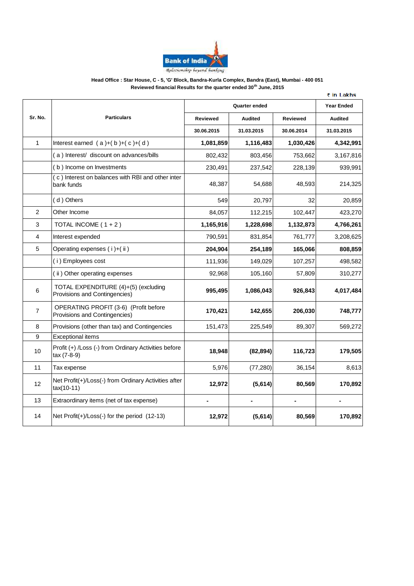

### **Head Office : Star House, C - 5, 'G' Block, Bandra-Kurla Complex, Bandra (East), Mumbai - 400 051 Reviewed financial Results for the quarter ended 30th June, 2015**

|                |                                                                        |                |                |            | ₹ in Lakhs        |
|----------------|------------------------------------------------------------------------|----------------|----------------|------------|-------------------|
|                | <b>Particulars</b>                                                     | Quarter ended  |                |            | <b>Year Ended</b> |
| Sr. No.        |                                                                        | Reviewed       | <b>Audited</b> | Reviewed   | <b>Audited</b>    |
|                |                                                                        | 30.06.2015     | 31.03.2015     | 30.06.2014 | 31.03.2015        |
| $\mathbf{1}$   | Interest earned $(a)+(b)+(c)+(d)$                                      | 1,081,859      | 1,116,483      | 1,030,426  | 4,342,991         |
|                | (a) Interest/ discount on advances/bills                               | 802,432        | 803,456        | 753,662    | 3,167,816         |
|                | (b) Income on Investments                                              | 230,491        | 237,542        | 228,139    | 939,991           |
|                | (c) Interest on balances with RBI and other inter<br>bank funds        | 48,387         | 54,688         | 48,593     | 214,325           |
|                | (d) Others                                                             | 549            | 20,797         | 32         | 20,859            |
| $\overline{c}$ | Other Income                                                           | 84,057         | 112,215        | 102,447    | 423,270           |
| 3              | TOTAL INCOME $(1 + 2)$                                                 | 1,165,916      | 1,228,698      | 1,132,873  | 4,766,261         |
| 4              | Interest expended                                                      | 790,591        | 831,854        | 761,777    | 3,208,625         |
| 5              | Operating expenses (i)+(ii)                                            | 204,904        | 254,189        | 165,066    | 808,859           |
|                | (i) Employees cost                                                     | 111,936        | 149,029        | 107,257    | 498,582           |
|                | (ii) Other operating expenses                                          | 92,968         | 105,160        | 57,809     | 310,277           |
| 6              | TOTAL EXPENDITURE (4)+(5) (excluding<br>Provisions and Contingencies)  | 995,495        | 1,086,043      | 926,843    | 4,017,484         |
| $\overline{7}$ | OPERATING PROFIT (3-6) (Profit before<br>Provisions and Contingencies) | 170,421        | 142,655        | 206,030    | 748,777           |
| 8              | Provisions (other than tax) and Contingencies                          | 151,473        | 225,549        | 89,307     | 569,272           |
| 9              | <b>Exceptional items</b>                                               |                |                |            |                   |
| 10             | Profit (+) /Loss (-) from Ordinary Activities before<br>tax (7-8-9)    | 18,948         | (82, 894)      | 116,723    | 179,505           |
| 11             | Tax expense                                                            | 5,976          | (77, 280)      | 36,154     | 8,613             |
| 12             | Net Profit(+)/Loss(-) from Ordinary Activities after<br>$tax(10-11)$   | 12,972         | (5,614)        | 80,569     | 170,892           |
| 13             | Extraordinary items (net of tax expense)                               | $\blacksquare$ |                |            |                   |
| 14             | Net $Profit(+)/Loss(-)$ for the period $(12-13)$                       | 12,972         | (5,614)        | 80,569     | 170,892           |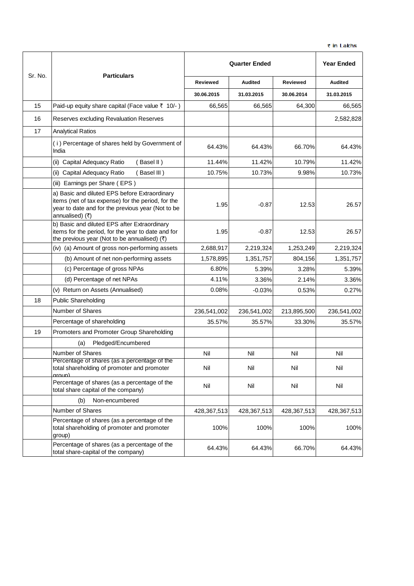|         |                                                                                                                                                                             | <b>Quarter Ended</b> |                |             | <b>Year Ended</b> |
|---------|-----------------------------------------------------------------------------------------------------------------------------------------------------------------------------|----------------------|----------------|-------------|-------------------|
| Sr. No. | <b>Particulars</b>                                                                                                                                                          | Reviewed             | <b>Audited</b> | Reviewed    | <b>Audited</b>    |
|         |                                                                                                                                                                             | 30.06.2015           | 31.03.2015     | 30.06.2014  | 31.03.2015        |
| 15      | Paid-up equity share capital (Face value ₹ 10/-)                                                                                                                            | 66,565               | 66,565         | 64,300      | 66,565            |
| 16      | Reserves excluding Revaluation Reserves                                                                                                                                     |                      |                |             | 2,582,828         |
| 17      | <b>Analytical Ratios</b>                                                                                                                                                    |                      |                |             |                   |
|         | (i) Percentage of shares held by Government of<br>India                                                                                                                     | 64.43%               | 64.43%         | 66.70%      | 64.43%            |
|         | (ii) Capital Adequacy Ratio<br>(Basel II)                                                                                                                                   | 11.44%               | 11.42%         | 10.79%      | 11.42%            |
|         | (ii) Capital Adequacy Ratio<br>(Basel III)                                                                                                                                  | 10.75%               | 10.73%         | 9.98%       | 10.73%            |
|         | (iii) Earnings per Share (EPS)                                                                                                                                              |                      |                |             |                   |
|         | a) Basic and diluted EPS before Extraordinary<br>items (net of tax expense) for the period, for the<br>year to date and for the previous year (Not to be<br>annualised) (₹) | 1.95                 | $-0.87$        | 12.53       | 26.57             |
|         | b) Basic and diluted EPS after Extraordinary<br>items for the period, for the year to date and for<br>the previous year (Not to be annualised) $(3)$                        | 1.95                 | $-0.87$        | 12.53       | 26.57             |
|         | (iv) (a) Amount of gross non-performing assets                                                                                                                              | 2,688,917            | 2,219,324      | 1,253,249   | 2,219,324         |
|         | (b) Amount of net non-performing assets                                                                                                                                     | 1,578,895            | 1,351,757      | 804,156     | 1,351,757         |
|         | (c) Percentage of gross NPAs                                                                                                                                                | 6.80%                | 5.39%          | 3.28%       | 5.39%             |
|         | (d) Percentage of net NPAs                                                                                                                                                  | 4.11%                | 3.36%          | 2.14%       | 3.36%             |
|         | (v) Return on Assets (Annualised)                                                                                                                                           | 0.08%                | $-0.03%$       | 0.53%       | 0.27%             |
| 18      | <b>Public Shareholding</b>                                                                                                                                                  |                      |                |             |                   |
|         | Number of Shares                                                                                                                                                            | 236,541,002          | 236,541,002    | 213,895,500 | 236,541,002       |
|         | Percentage of shareholding                                                                                                                                                  | 35.57%               | 35.57%         | 33.30%      | 35.57%            |
| 19      | Promoters and Promoter Group Shareholding                                                                                                                                   |                      |                |             |                   |
|         | Pledged/Encumbered<br>(a)                                                                                                                                                   |                      |                |             |                   |
|         | Number of Shares                                                                                                                                                            | Nil                  | Nil            | Nil         | Nil               |
|         | Percentage of shares (as a percentage of the<br>total shareholding of promoter and promoter<br>aroun)                                                                       | Nil                  | Nil            | Nil         | Nil               |
|         | Percentage of shares (as a percentage of the<br>total share capital of the company)                                                                                         | Nil                  | Nil            | Nil         | Nil               |
|         | Non-encumbered<br>(b)                                                                                                                                                       |                      |                |             |                   |
|         | Number of Shares                                                                                                                                                            | 428,367,513          | 428,367,513    | 428,367,513 | 428,367,513       |
|         | Percentage of shares (as a percentage of the<br>total shareholding of promoter and promoter<br>group)                                                                       | 100%                 | 100%           | 100%        | 100%              |
|         | Percentage of shares (as a percentage of the<br>total share-capital of the company)                                                                                         | 64.43%               | 64.43%         | 66.70%      | 64.43%            |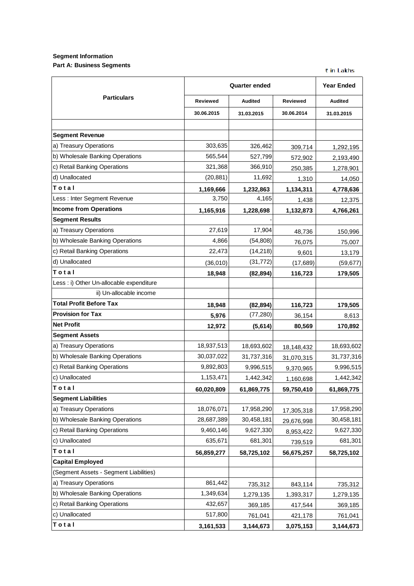## **Segment Information Part A: Business Segments**

₹ in Lakhs

|                                          | <b>Quarter ended</b> | <b>Year Ended</b> |                 |                |
|------------------------------------------|----------------------|-------------------|-----------------|----------------|
| <b>Particulars</b>                       | <b>Reviewed</b>      | <b>Audited</b>    | <b>Reviewed</b> | <b>Audited</b> |
|                                          | 30.06.2015           | 31.03.2015        | 30.06.2014      | 31.03.2015     |
|                                          |                      |                   |                 |                |
| <b>Segment Revenue</b>                   |                      |                   |                 |                |
| a) Treasury Operations                   | 303,635              | 326,462           | 309,714         | 1,292,195      |
| b) Wholesale Banking Operations          | 565,544              | 527,799           | 572,902         | 2,193,490      |
| c) Retail Banking Operations             | 321,368              | 366,910           | 250,385         | 1,278,901      |
| d) Unallocated                           | (20, 881)            | 11,692            | 1,310           | 14,050         |
| Total                                    | 1,169,666            | 1,232,863         | 1,134,311       | 4,778,636      |
| Less: Inter Segment Revenue              | 3,750                | 4,165             | 1,438           | 12,375         |
| <b>Income from Operations</b>            | 1,165,916            | 1,228,698         | 1,132,873       | 4,766,261      |
| <b>Segment Results</b>                   |                      |                   |                 |                |
| a) Treasury Operations                   | 27,619               | 17,904            | 48,736          | 150,996        |
| b) Wholesale Banking Operations          | 4,866                | (54, 808)         | 76,075          | 75,007         |
| c) Retail Banking Operations             | 22,473               | (14, 218)         | 9,601           | 13,179         |
| d) Unallocated                           | (36,010)             | (31, 772)         | (17,689)        | (59, 677)      |
| Total                                    | 18,948               | (82, 894)         | 116,723         | 179,505        |
| Less : i) Other Un-allocable expenditure |                      |                   |                 |                |
| ii) Un-allocable income                  |                      |                   |                 |                |
| <b>Total Profit Before Tax</b>           | 18,948               | (82, 894)         | 116,723         | 179,505        |
| <b>Provision for Tax</b>                 | 5,976                | (77, 280)         | 36,154          | 8,613          |
| <b>Net Profit</b>                        | 12,972               | (5,614)           | 80,569          | 170,892        |
| <b>Segment Assets</b>                    |                      |                   |                 |                |
| a) Treasury Operations                   | 18,937,513           | 18,693,602        | 18,148,432      | 18,693,602     |
| b) Wholesale Banking Operations          | 30,037,022           | 31,737,316        | 31,070,315      | 31,737,316     |
| c) Retail Banking Operations             | 9,892,803            | 9,996,515         | 9,370,965       | 9,996,515      |
| c) Unallocated                           | 1,153,471            | 1,442,342         | 1,160,698       | 1,442,342      |
| Total                                    | 60,020,809           | 61,869,775        | 59,750,410      | 61,869,775     |
| <b>Segment Liabilities</b>               |                      |                   |                 |                |
| a) Treasury Operations                   | 18,076,071           | 17,958,290        | 17,305,318      | 17,958,290     |
| b) Wholesale Banking Operations          | 28,687,389           | 30,458,181        | 29,676,998      | 30,458,181     |
| c) Retail Banking Operations             | 9,460,146            | 9,627,330         | 8,953,422       | 9,627,330      |
| c) Unallocated                           | 635,671              | 681,301           | 739,519         | 681,301        |
| Total                                    | 56,859,277           | 58,725,102        | 56,675,257      | 58,725,102     |
| <b>Capital Employed</b>                  |                      |                   |                 |                |
| (Segment Assets - Segment Liabilities)   |                      |                   |                 |                |
| a) Treasury Operations                   | 861,442              | 735,312           | 843,114         | 735,312        |
| b) Wholesale Banking Operations          | 1,349,634            | 1,279,135         | 1,393,317       | 1,279,135      |
| c) Retail Banking Operations             | 432,657              | 369,185           | 417,544         | 369,185        |
| c) Unallocated                           | 517,800              | 761,041           | 421,178         | 761,041        |
| Total                                    | 3,161,533            | 3,144,673         | 3,075,153       | 3,144,673      |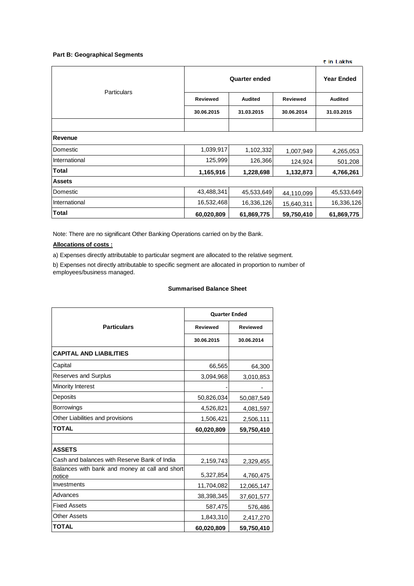#### **Part B: Geographical Segments**

| Particulars    | <b>Quarter ended</b> | <b>Year Ended</b> |                 |                |
|----------------|----------------------|-------------------|-----------------|----------------|
|                | <b>Reviewed</b>      | Audited           | <b>Reviewed</b> | <b>Audited</b> |
|                | 30.06.2015           | 31.03.2015        | 30.06.2014      | 31.03.2015     |
|                |                      |                   |                 |                |
| <b>Revenue</b> |                      |                   |                 |                |
| Domestic       | 1,039,917            | 1,102,332         | 1,007,949       | 4,265,053      |
| International  | 125,999              | 126,366           | 124,924         | 501,208        |
| <b>Total</b>   | 1,165,916            | 1,228,698         | 1,132,873       | 4,766,261      |
| <b>Assets</b>  |                      |                   |                 |                |
| Domestic       | 43,488,341           | 45,533,649        | 44,110,099      | 45,533,649     |
| International  | 16,532,468           | 16,336,126        | 15,640,311      | 16,336,126     |
| <b>Total</b>   | 60,020,809           | 61,869,775        | 59,750,410      | 61,869,775     |

₹ in Lakhs

Note: There are no significant Other Banking Operations carried on by the Bank.

### **Allocations of costs :**

a) Expenses directly attributable to particular segment are allocated to the relative segment.

b) Expenses not directly attributable to specific segment are allocated in proportion to number of employees/business managed.

### **Summarised Balance Sheet**

|                                                          | <b>Quarter Ended</b> |                 |  |  |
|----------------------------------------------------------|----------------------|-----------------|--|--|
| <b>Particulars</b>                                       | <b>Reviewed</b>      | <b>Reviewed</b> |  |  |
|                                                          | 30.06.2015           | 30.06.2014      |  |  |
| <b>CAPITAL AND LIABILITIES</b>                           |                      |                 |  |  |
| Capital                                                  | 66,565               | 64,300          |  |  |
| <b>Reserves and Surplus</b>                              | 3,094,968            | 3,010,853       |  |  |
| Minority Interest                                        |                      |                 |  |  |
| Deposits                                                 | 50,826,034           | 50,087,549      |  |  |
| Borrowings                                               | 4,526,821            | 4,081,597       |  |  |
| Other Liabilities and provisions                         | 1,506,421            | 2,506,111       |  |  |
| <b>TOTAL</b>                                             | 60,020,809           | 59,750,410      |  |  |
|                                                          |                      |                 |  |  |
| <b>ASSETS</b>                                            |                      |                 |  |  |
| Cash and balances with Reserve Bank of India             | 2,159,743            | 2,329,455       |  |  |
| Balances with bank and money at call and short<br>notice | 5,327,854            | 4,760,475       |  |  |
| Investments                                              | 11,704,082           | 12,065,147      |  |  |
| Advances                                                 | 38,398,345           | 37,601,577      |  |  |
| <b>Fixed Assets</b>                                      | 587,475              | 576,486         |  |  |
| <b>Other Assets</b>                                      | 1,843,310            | 2,417,270       |  |  |
| <b>TOTAL</b>                                             | 60,020,809           | 59,750,410      |  |  |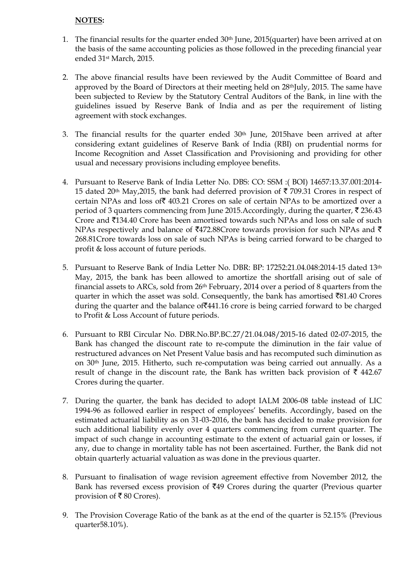# **NOTES:**

- 1. The financial results for the quarter ended 30th June, 2015(quarter) have been arrived at on the basis of the same accounting policies as those followed in the preceding financial year ended 31st March, 2015.
- 2. The above financial results have been reviewed by the Audit Committee of Board and approved by the Board of Directors at their meeting held on 28<sup>th</sup>July, 2015. The same have been subjected to Review by the Statutory Central Auditors of the Bank, in line with the guidelines issued by Reserve Bank of India and as per the requirement of listing agreement with stock exchanges.
- 3. The financial results for the quarter ended  $30<sup>th</sup>$  June,  $2015$ have been arrived at after considering extant guidelines of Reserve Bank of India (RBI) on prudential norms for Income Recognition and Asset Classification and Provisioning and providing for other usual and necessary provisions including employee benefits.
- 4. Pursuant to Reserve Bank of India Letter No. DBS: CO: SSM :( BOI) 14657:13.37.001:2014- 15 dated 20<sup>th</sup> May, 2015, the bank had deferred provision of  $\bar{\tau}$  709.31 Crores in respect of certain NPAs and loss of  $\bar{z}$  403.21 Crores on sale of certain NPAs to be amortized over a period of 3 quarters commencing from June 2015. Accordingly, during the quarter,  $\bar{\mathbf{z}}$  236.43 Crore and  $\bar{\tau}$ 134.40 Crore has been amortised towards such NPAs and loss on sale of such NPAs respectively and balance of  $\text{\texttt{F472.88}C}$  rore towards provision for such NPAs and  $\text{\texttt{F}}$ 268.81Crore towards loss on sale of such NPAs is being carried forward to be charged to profit & loss account of future periods.
- 5. Pursuant to Reserve Bank of India Letter No. DBR: BP: 17252:21.04.048:2014-15 dated 13th May, 2015, the bank has been allowed to amortize the shortfall arising out of sale of financial assets to ARCs, sold from 26th February, 2014 over a period of 8 quarters from the quarter in which the asset was sold. Consequently, the bank has amortised  $\bar{8}1.40$  Crores during the quarter and the balance of  $\overline{441.16}$  crore is being carried forward to be charged to Profit & Loss Account of future periods.
- 6. Pursuant to RBI Circular No. DBR.No.BP.BC.27/21.04.048/2015-16 dated 02-07-2015, the Bank has changed the discount rate to re-compute the diminution in the fair value of restructured advances on Net Present Value basis and has recomputed such diminution as on 30th June, 2015. Hitherto, such re-computation was being carried out annually. As a result of change in the discount rate, the Bank has written back provision of  $\bar{\tau}$  442.67 Crores during the quarter.
- 7. During the quarter, the bank has decided to adopt IALM 2006-08 table instead of LIC 1994-96 as followed earlier in respect of employees' benefits. Accordingly, based on the estimated actuarial liability as on 31-03-2016, the bank has decided to make provision for such additional liability evenly over 4 quarters commencing from current quarter. The impact of such change in accounting estimate to the extent of actuarial gain or losses, if any, due to change in mortality table has not been ascertained. Further, the Bank did not obtain quarterly actuarial valuation as was done in the previous quarter.
- 8. Pursuant to finalisation of wage revision agreement effective from November 2012, the Bank has reversed excess provision of  $\overline{549}$  Crores during the quarter (Previous quarter provision of  $\bar{\bar{\xi}}$  80 Crores).
- 9. The Provision Coverage Ratio of the bank as at the end of the quarter is 52.15% (Previous quarter58.10%).